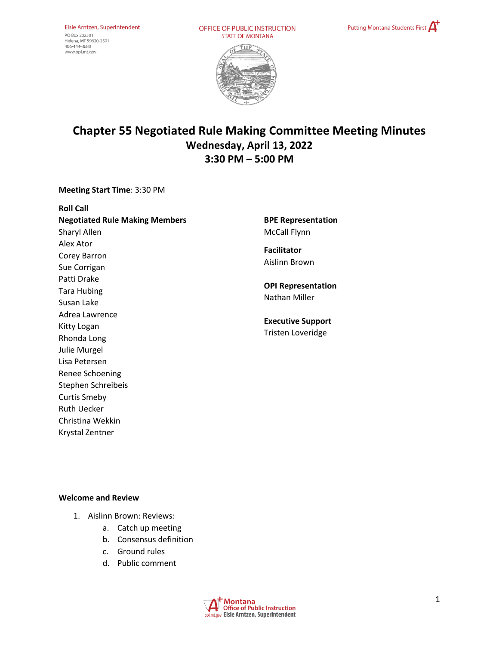OFFICE OF PUBLIC INSTRUCTION **STATE OF MONTANA** 





# **Chapter 55 Negotiated Rule Making Committee Meeting Minutes Wednesday, April 13, 2022 3:30 PM – 5:00 PM**

**Meeting Start Time**: 3:30 PM

**Roll Call Negotiated Rule Making Members** Sharyl Allen Alex Ator Corey Barron Sue Corrigan Patti Drake Tara Hubing Susan Lake Adrea Lawrence Kitty Logan Rhonda Long Julie Murgel Lisa Petersen Renee Schoening Stephen Schreibeis Curtis Smeby Ruth Uecker Christina Wekkin

**BPE Representation**  McCall Flynn

**Facilitator** Aislinn Brown

**OPI Representation**  Nathan Miller

**Executive Support** Tristen Loveridge

#### **Welcome and Review**

Krystal Zentner

- 1. Aislinn Brown: Reviews:
	- a. Catch up meeting
	- b. Consensus definition
	- c. Ground rules
	- d. Public comment

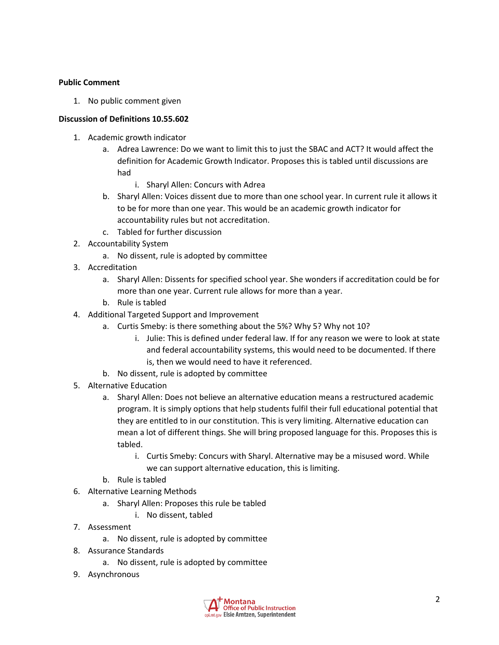#### **Public Comment**

1. No public comment given

### **Discussion of Definitions 10.55.602**

- 1. Academic growth indicator
	- a. Adrea Lawrence: Do we want to limit this to just the SBAC and ACT? It would affect the definition for Academic Growth Indicator. Proposes this is tabled until discussions are had
		- i. Sharyl Allen: Concurs with Adrea
	- b. Sharyl Allen: Voices dissent due to more than one school year. In current rule it allows it to be for more than one year. This would be an academic growth indicator for accountability rules but not accreditation.
	- c. Tabled for further discussion
- 2. Accountability System
	- a. No dissent, rule is adopted by committee
- 3. Accreditation
	- a. Sharyl Allen: Dissents for specified school year. She wonders if accreditation could be for more than one year. Current rule allows for more than a year.
	- b. Rule is tabled
- 4. Additional Targeted Support and Improvement
	- a. Curtis Smeby: is there something about the 5%? Why 5? Why not 10?
		- i. Julie: This is defined under federal law. If for any reason we were to look at state and federal accountability systems, this would need to be documented. If there is, then we would need to have it referenced.
	- b. No dissent, rule is adopted by committee
- 5. Alternative Education
	- a. Sharyl Allen: Does not believe an alternative education means a restructured academic program. It is simply options that help students fulfil their full educational potential that they are entitled to in our constitution. This is very limiting. Alternative education can mean a lot of different things. She will bring proposed language for this. Proposes this is tabled.
		- i. Curtis Smeby: Concurs with Sharyl. Alternative may be a misused word. While we can support alternative education, this is limiting.
	- b. Rule is tabled
- 6. Alternative Learning Methods
	- a. Sharyl Allen: Proposes this rule be tabled
		- i. No dissent, tabled
- 7. Assessment
	- a. No dissent, rule is adopted by committee
- 8. Assurance Standards
	- a. No dissent, rule is adopted by committee
- 9. Asynchronous

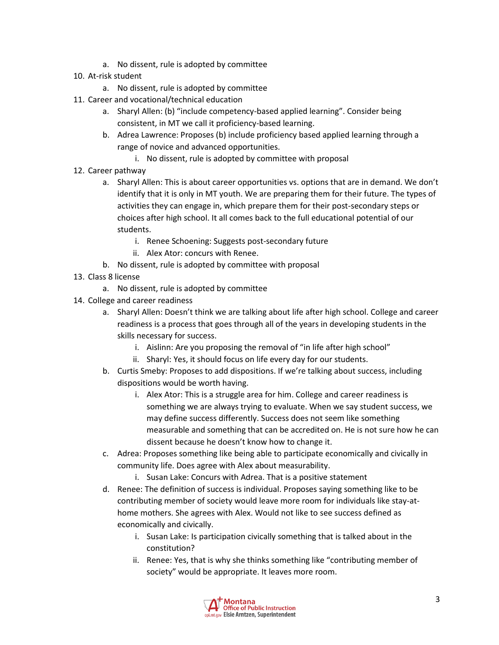- a. No dissent, rule is adopted by committee
- 10. At-risk student
	- a. No dissent, rule is adopted by committee
- 11. Career and vocational/technical education
	- a. Sharyl Allen: (b) "include competency-based applied learning". Consider being consistent, in MT we call it proficiency-based learning.
	- b. Adrea Lawrence: Proposes (b) include proficiency based applied learning through a range of novice and advanced opportunities.
		- i. No dissent, rule is adopted by committee with proposal
- 12. Career pathway
	- a. Sharyl Allen: This is about career opportunities vs. options that are in demand. We don't identify that it is only in MT youth. We are preparing them for their future. The types of activities they can engage in, which prepare them for their post-secondary steps or choices after high school. It all comes back to the full educational potential of our students.
		- i. Renee Schoening: Suggests post-secondary future
		- ii. Alex Ator: concurs with Renee.
	- b. No dissent, rule is adopted by committee with proposal
- 13. Class 8 license
	- a. No dissent, rule is adopted by committee
- 14. College and career readiness
	- a. Sharyl Allen: Doesn't think we are talking about life after high school. College and career readiness is a process that goes through all of the years in developing students in the skills necessary for success.
		- i. Aislinn: Are you proposing the removal of "in life after high school"
		- ii. Sharyl: Yes, it should focus on life every day for our students.
	- b. Curtis Smeby: Proposes to add dispositions. If we're talking about success, including dispositions would be worth having.
		- i. Alex Ator: This is a struggle area for him. College and career readiness is something we are always trying to evaluate. When we say student success, we may define success differently. Success does not seem like something measurable and something that can be accredited on. He is not sure how he can dissent because he doesn't know how to change it.
	- c. Adrea: Proposes something like being able to participate economically and civically in community life. Does agree with Alex about measurability.
		- i. Susan Lake: Concurs with Adrea. That is a positive statement
	- d. Renee: The definition of success is individual. Proposes saying something like to be contributing member of society would leave more room for individuals like stay-athome mothers. She agrees with Alex. Would not like to see success defined as economically and civically.
		- i. Susan Lake: Is participation civically something that is talked about in the constitution?
		- ii. Renee: Yes, that is why she thinks something like "contributing member of society" would be appropriate. It leaves more room.

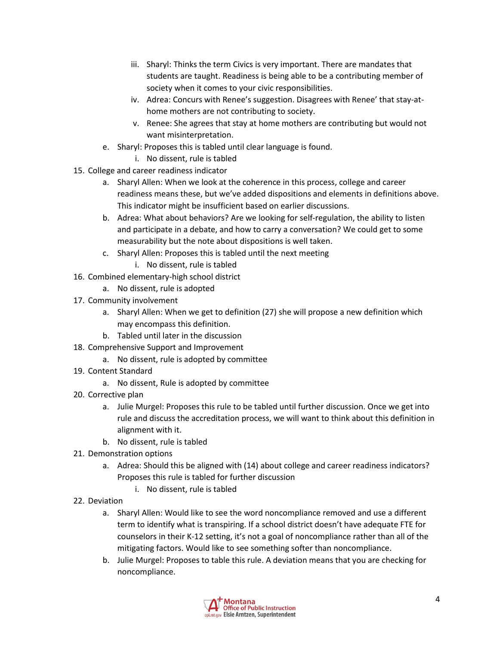- iii. Sharyl: Thinks the term Civics is very important. There are mandates that students are taught. Readiness is being able to be a contributing member of society when it comes to your civic responsibilities.
- iv. Adrea: Concurs with Renee's suggestion. Disagrees with Renee' that stay-athome mothers are not contributing to society.
- v. Renee: She agrees that stay at home mothers are contributing but would not want misinterpretation.
- e. Sharyl: Proposes this is tabled until clear language is found.
	- i. No dissent, rule is tabled
- 15. College and career readiness indicator
	- a. Sharyl Allen: When we look at the coherence in this process, college and career readiness means these, but we've added dispositions and elements in definitions above. This indicator might be insufficient based on earlier discussions.
	- b. Adrea: What about behaviors? Are we looking for self-regulation, the ability to listen and participate in a debate, and how to carry a conversation? We could get to some measurability but the note about dispositions is well taken.
	- c. Sharyl Allen: Proposes this is tabled until the next meeting
		- i. No dissent, rule is tabled
- 16. Combined elementary-high school district
	- a. No dissent, rule is adopted
- 17. Community involvement
	- a. Sharyl Allen: When we get to definition (27) she will propose a new definition which may encompass this definition.
	- b. Tabled until later in the discussion
- 18. Comprehensive Support and Improvement
	- a. No dissent, rule is adopted by committee
- 19. Content Standard
	- a. No dissent, Rule is adopted by committee
- 20. Corrective plan
	- a. Julie Murgel: Proposes this rule to be tabled until further discussion. Once we get into rule and discuss the accreditation process, we will want to think about this definition in alignment with it.
	- b. No dissent, rule is tabled
- 21. Demonstration options
	- a. Adrea: Should this be aligned with (14) about college and career readiness indicators? Proposes this rule is tabled for further discussion
		- i. No dissent, rule is tabled
- 22. Deviation
	- a. Sharyl Allen: Would like to see the word noncompliance removed and use a different term to identify what is transpiring. If a school district doesn't have adequate FTE for counselors in their K-12 setting, it's not a goal of noncompliance rather than all of the mitigating factors. Would like to see something softer than noncompliance.
	- b. Julie Murgel: Proposes to table this rule. A deviation means that you are checking for noncompliance.

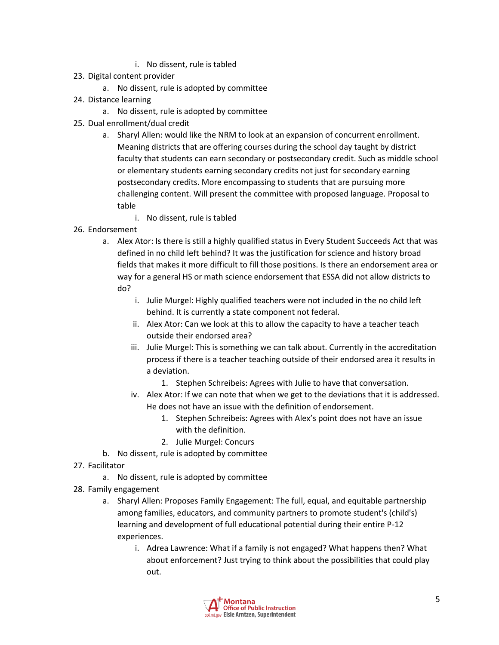- i. No dissent, rule is tabled
- 23. Digital content provider
	- a. No dissent, rule is adopted by committee
- 24. Distance learning
	- a. No dissent, rule is adopted by committee
- 25. Dual enrollment/dual credit
	- a. Sharyl Allen: would like the NRM to look at an expansion of concurrent enrollment. Meaning districts that are offering courses during the school day taught by district faculty that students can earn secondary or postsecondary credit. Such as middle school or elementary students earning secondary credits not just for secondary earning postsecondary credits. More encompassing to students that are pursuing more challenging content. Will present the committee with proposed language. Proposal to table
		- i. No dissent, rule is tabled
- 26. Endorsement
	- a. Alex Ator: Is there is still a highly qualified status in Every Student Succeeds Act that was defined in no child left behind? It was the justification for science and history broad fields that makes it more difficult to fill those positions. Is there an endorsement area or way for a general HS or math science endorsement that ESSA did not allow districts to do?
		- i. Julie Murgel: Highly qualified teachers were not included in the no child left behind. It is currently a state component not federal.
		- ii. Alex Ator: Can we look at this to allow the capacity to have a teacher teach outside their endorsed area?
		- iii. Julie Murgel: This is something we can talk about. Currently in the accreditation process if there is a teacher teaching outside of their endorsed area it results in a deviation.
			- 1. Stephen Schreibeis: Agrees with Julie to have that conversation.
		- iv. Alex Ator: If we can note that when we get to the deviations that it is addressed. He does not have an issue with the definition of endorsement.
			- 1. Stephen Schreibeis: Agrees with Alex's point does not have an issue with the definition.
			- 2. Julie Murgel: Concurs
	- b. No dissent, rule is adopted by committee
- 27. Facilitator
	- a. No dissent, rule is adopted by committee
- 28. Family engagement
	- a. Sharyl Allen: Proposes Family Engagement: The full, equal, and equitable partnership among families, educators, and community partners to promote student's (child's) learning and development of full educational potential during their entire P-12 experiences.
		- i. Adrea Lawrence: What if a family is not engaged? What happens then? What about enforcement? Just trying to think about the possibilities that could play out.

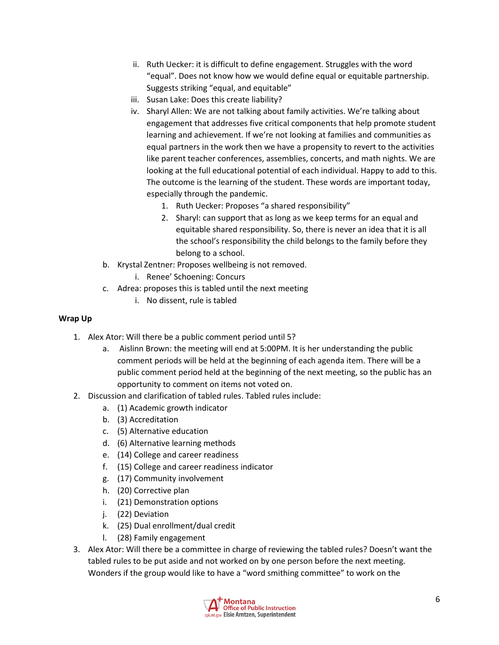- ii. Ruth Uecker: it is difficult to define engagement. Struggles with the word "equal". Does not know how we would define equal or equitable partnership. Suggests striking "equal, and equitable"
- iii. Susan Lake: Does this create liability?
- iv. Sharyl Allen: We are not talking about family activities. We're talking about engagement that addresses five critical components that help promote student learning and achievement. If we're not looking at families and communities as equal partners in the work then we have a propensity to revert to the activities like parent teacher conferences, assemblies, concerts, and math nights. We are looking at the full educational potential of each individual. Happy to add to this. The outcome is the learning of the student. These words are important today, especially through the pandemic.
	- 1. Ruth Uecker: Proposes "a shared responsibility"
	- 2. Sharyl: can support that as long as we keep terms for an equal and equitable shared responsibility. So, there is never an idea that it is all the school's responsibility the child belongs to the family before they belong to a school.
- b. Krystal Zentner: Proposes wellbeing is not removed.
	- i. Renee' Schoening: Concurs
- c. Adrea: proposes this is tabled until the next meeting
	- i. No dissent, rule is tabled

### **Wrap Up**

- 1. Alex Ator: Will there be a public comment period until 5?
	- a. Aislinn Brown: the meeting will end at 5:00PM. It is her understanding the public comment periods will be held at the beginning of each agenda item. There will be a public comment period held at the beginning of the next meeting, so the public has an opportunity to comment on items not voted on.
- 2. Discussion and clarification of tabled rules. Tabled rules include:
	- a. (1) Academic growth indicator
	- b. (3) Accreditation
	- c. (5) Alternative education
	- d. (6) Alternative learning methods
	- e. (14) College and career readiness
	- f. (15) College and career readiness indicator
	- g. (17) Community involvement
	- h. (20) Corrective plan
	- i. (21) Demonstration options
	- j. (22) Deviation
	- k. (25) Dual enrollment/dual credit
	- l. (28) Family engagement
- 3. Alex Ator: Will there be a committee in charge of reviewing the tabled rules? Doesn't want the tabled rules to be put aside and not worked on by one person before the next meeting. Wonders if the group would like to have a "word smithing committee" to work on the